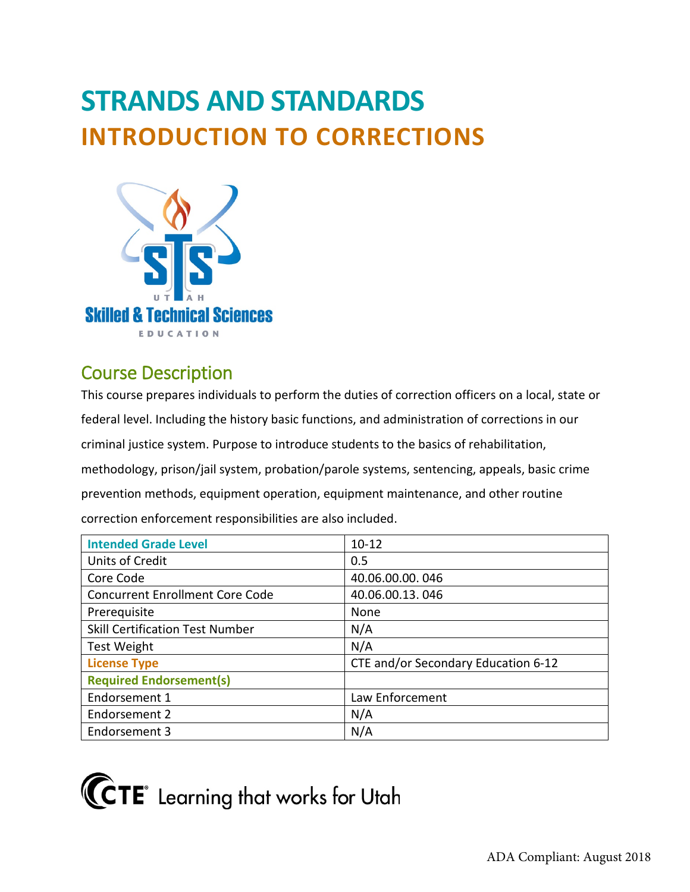# **STRANDS AND STANDARDS INTRODUCTION TO CORRECTIONS**



# Course Description

This course prepares individuals to perform the duties of correction officers on a local, state or federal level. Including the history basic functions, and administration of corrections in our criminal justice system. Purpose to introduce students to the basics of rehabilitation, methodology, prison/jail system, probation/parole systems, sentencing, appeals, basic crime prevention methods, equipment operation, equipment maintenance, and other routine correction enforcement responsibilities are also included.

| <b>Intended Grade Level</b>            | $10 - 12$                           |
|----------------------------------------|-------------------------------------|
| Units of Credit                        | 0.5                                 |
| Core Code                              | 40.06.00.00.046                     |
| <b>Concurrent Enrollment Core Code</b> | 40.06.00.13.046                     |
| Prerequisite                           | None                                |
| <b>Skill Certification Test Number</b> | N/A                                 |
| <b>Test Weight</b>                     | N/A                                 |
| <b>License Type</b>                    | CTE and/or Secondary Education 6-12 |
| <b>Required Endorsement(s)</b>         |                                     |
| Endorsement 1                          | Law Enforcement                     |
| Endorsement 2                          | N/A                                 |
| Endorsement 3                          | N/A                                 |

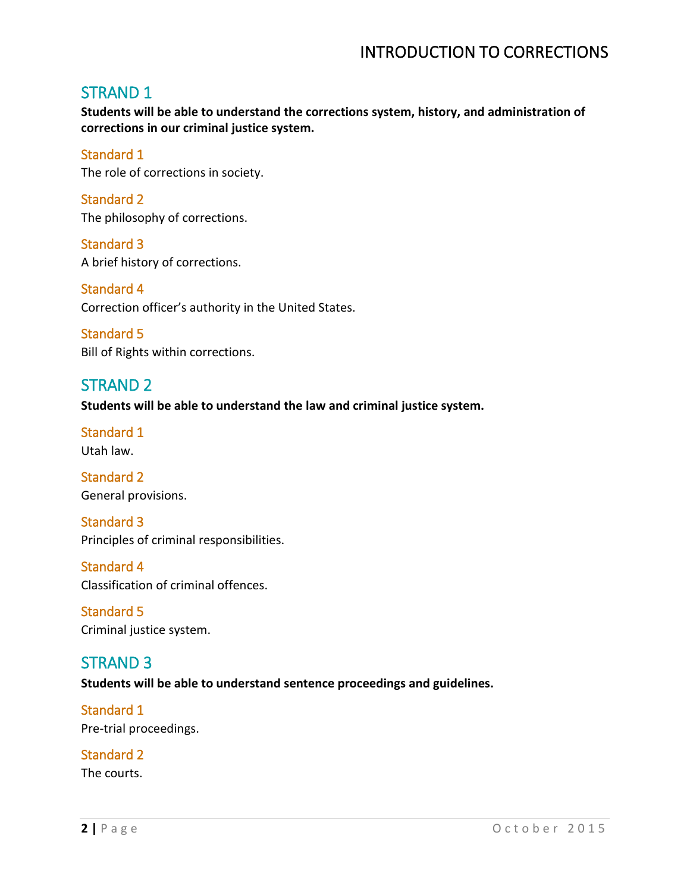## STRAND 1

**Students will be able to understand the corrections system, history, and administration of corrections in our criminal justice system.** 

## Standard 1

The role of corrections in society.

Standard 2 The philosophy of corrections.

Standard 3 A brief history of corrections.

Standard 4 Correction officer's authority in the United States.

Standard 5 Bill of Rights within corrections.

# STRAND 2

**Students will be able to understand the law and criminal justice system.** 

Standard 1 Utah law.

Standard 2 General provisions.

Standard 3 Principles of criminal responsibilities.

Standard 4 Classification of criminal offences.

Standard 5 Criminal justice system.

# STRAND 3

**Students will be able to understand sentence proceedings and guidelines.** 

Standard 1 Pre-trial proceedings.

Standard 2 The courts.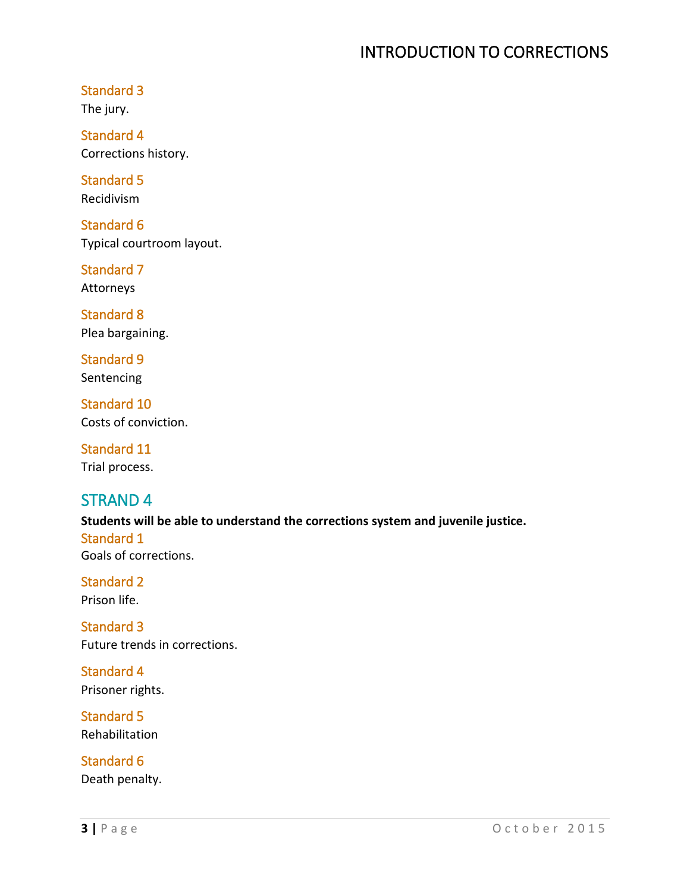### Standard 3

The jury.

Standard 4 Corrections history.

Standard 5 Recidivism

Standard 6 Typical courtroom layout.

Standard 7 Attorneys

Standard 8 Plea bargaining.

Standard 9 Sentencing

Standard 10 Costs of conviction.

Standard 11 Trial process.

## STRAND 4

**Students will be able to understand the corrections system and juvenile justice.**  Standard 1 Goals of corrections.

Standard 2 Prison life.

Standard 3 Future trends in corrections.

Standard 4 Prisoner rights.

Standard 5 Rehabilitation

Standard 6 Death penalty.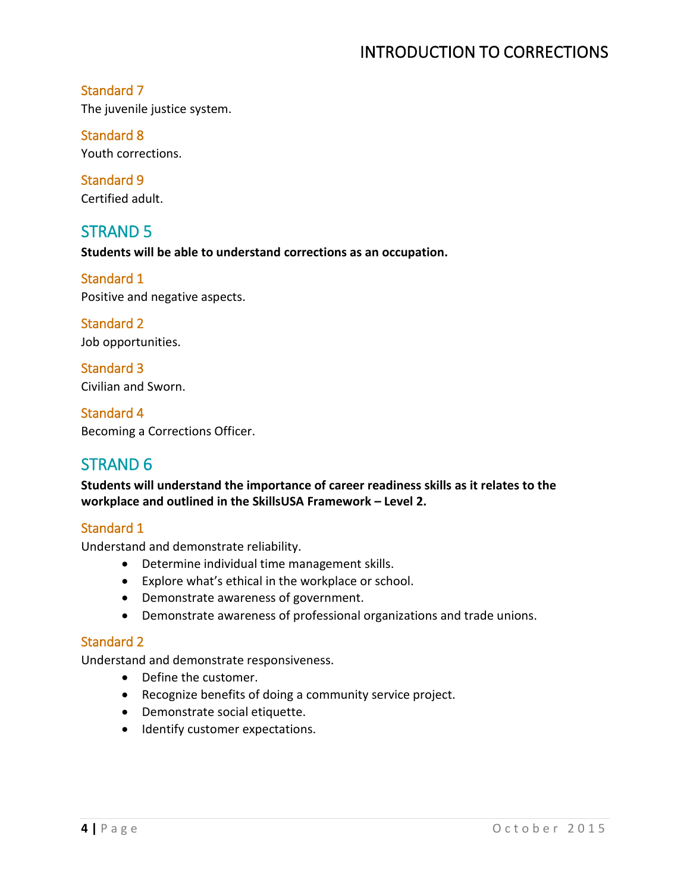## Standard 7

The juvenile justice system.

## Standard 8

Youth corrections.

Standard 9 Certified adult.

## STRAND 5

**Students will be able to understand corrections as an occupation.**

Standard 1 Positive and negative aspects.

Standard 2 Job opportunities.

Standard 3 Civilian and Sworn.

Standard 4 Becoming a Corrections Officer.

## STRAND 6

**Students will understand the importance of career readiness skills as it relates to the workplace and outlined in the SkillsUSA Framework – Level 2.** 

### Standard 1

Understand and demonstrate reliability.

- Determine individual time management skills.
- Explore what's ethical in the workplace or school.
- Demonstrate awareness of government.
- Demonstrate awareness of professional organizations and trade unions.

### Standard 2

Understand and demonstrate responsiveness.

- Define the customer.
- Recognize benefits of doing a community service project.
- Demonstrate social etiquette.
- Identify customer expectations.